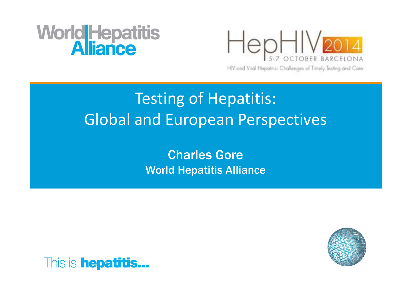# **WorldHepatitis**



HIV and Viral Hepatitis: Challenges of Timely Testing and Care

### Testing of Hepatitis: Global and European Perspectives

Charles GoreWorld Hepatitis Alliance



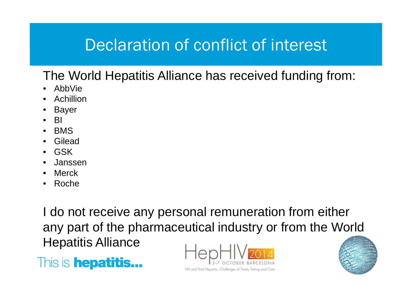#### PurposeDeclaration of conflict of interest

The World Hepatitis Alliance has received funding from:

- $\bullet$ AbbVie
- Achillion•
- •Bayer
- •BI
- BMS
- **Gilead** •
- GSK
- Janssen
- Merck
- Roche•

I do not receive any personal remuneration from either any part of the pharmaceutical industry or from the World Hepatitis Alliance





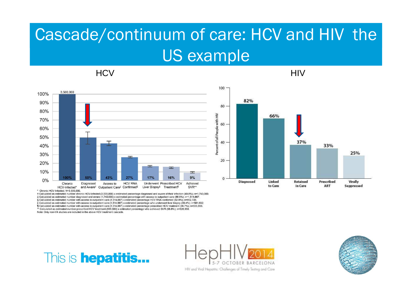### Cascade/continuum of care: HCV and HIV the US example

HCV HIV



\* Chronic HCV-Infected: N=3 500 000

+ Calculated as estimated number chronic HCV-infected (3,500,000) x estimated percentage diagnosed and aware of their infection (49.8%); n=1,743,000. ± Calculated as estimated number diagnosed and aware (1,743,000) x estimated percentage with access to outpatient care (86.9%); n=1,514,667. § Calculated as estimated number with access to outpatient care (1,514,667) x estimated percentage HCV RNA confirmed (62.9%); n=952,726. | Calculated as estimated number with access to outpatient care (1,514,667) x estimated percentage who underwent liver biopsy (38.4%); n=581,632 T Calculated as estimated number with access to outpatient care (1,514,667) x estimated percentage prescribed HCV treatment (36.7%); n=555,883. " Calculated as estimated number prescribed HCV treatment (555,883) x estimated percentage who achieved SVR (58.8%); n=326,859. Note: Only non-VA studies are included in the above HCV treatment cascade.

82% 80 66% 60 37% 40 33% 25% 20  $\mathbf{0}$ **Diagnosed** Linked Retained Prescribed Virally to Care in Care ART Suppressed

This is **hepatitis...** 

HIV and Viral Hepatitis: Challenges of Timely Testing and Care

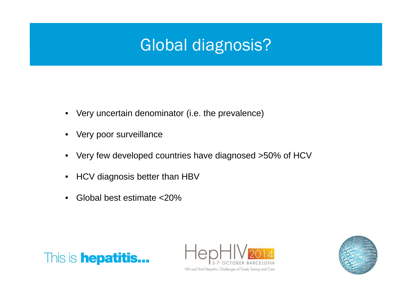### PurposeGlobal diagnosis?

- Very uncertain denominator (i.e. the prevalence)
- •Very poor surveillance
- $\bullet$ Very few developed countries have diagnosed >50% of HCV
- •HCV diagnosis better than HBV
- •Global best estimate <20%





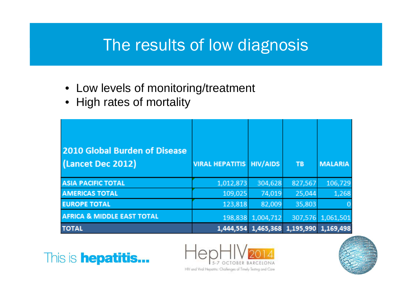### PurposeThe results of low diagnosis

- Low levels of monitoring/treatment
- High rates of mortality

| 2010 Global Burden of Disease<br>(Lancet Dec 2012) | <b>VIRAL HEPATITIS HIV/AIDS</b> |           | TB                  | <b>MALARIA</b> |
|----------------------------------------------------|---------------------------------|-----------|---------------------|----------------|
| <b>ASIA PACIFIC TOTAL</b>                          | 1,012,873                       | 304,628   | 827,567             | 106,729        |
| <b>AMERICAS TOTAL</b>                              | 109,025                         | 74,019    | 25,044              | 1,268          |
| <b>EUROPE TOTAL</b>                                | 123,818                         | 82,009    | 35,803              |                |
| <b>AFRICA &amp; MIDDLE EAST TOTAL</b>              | 198,838                         | 1,004,712 | 307,576             | 1,061,501      |
| <b>TOTAL</b>                                       | 1,444,554                       |           | 1,465,368 1,195,990 | 1,169,498      |





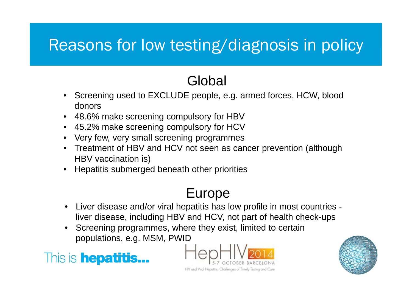### PurposeReasons for low testing/diagnosis in policy

### **Global**

- Screening used to EXCLUDE people, e.g. armed forces, HCW, blood donors
- 48.6% make screening compulsory for HBV•
- 45.2% make screening compulsory for HCV
- Very few, very small screening programmes•
- Treatment of HBV and HCV not seen as cancer prevention (although HBV vaccination is)
- •Hepatitis submerged beneath other priorities

### Europe

- Liver disease and/or viral hepatitis has low profile in most countries -•liver disease, including HBV and HCV, not part of health check-ups
- • Screening programmes, where they exist, limited to certain populations, e.g. MSM, PWID





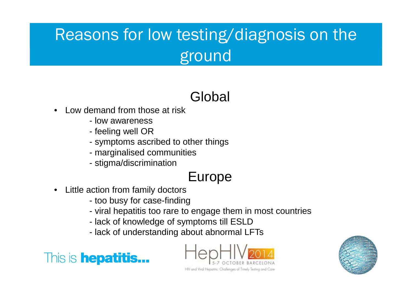### Reasons for low testing/diagnosis on the ground

### Global

- • Low demand from those at risk
	- low awareness
	- feeling well OR
	- symptoms ascribed to other things
	- marginalised communities
	- stigma/discrimination

### Europe

- $\bullet$  Little action from family doctors
	- too busy for case-finding
	- viral hepatitis too rare to engage them in most countries
	- lack of knowledge of symptoms till ESLD
	- lack of understanding about abnormal LFTs





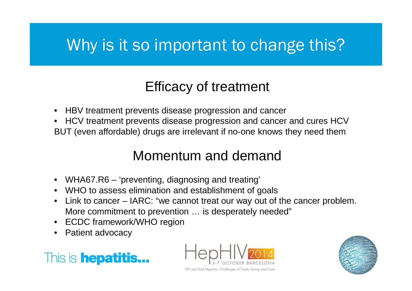### PurposeWhy is it so important to change this?

### Efficacy of treatment

- HBV treatment prevents disease progression and cancer
- HCV treatment prevents disease progression and cancer and cures HCV•BUT (even affordable) drugs are irrelevant if no-one knows they need them

### Momentum and demand

- •WHA67.R6 – 'preventing, diagnosing and treating'
- WHO to assess elimination and establishment of goals
- Link to cancer IARC: "we cannot treat our way out of the cancer problem.  $\bullet$ More commitment to prevention … is desperately needed"
- •ECDC framework/WHO region
- •Patient advocacy





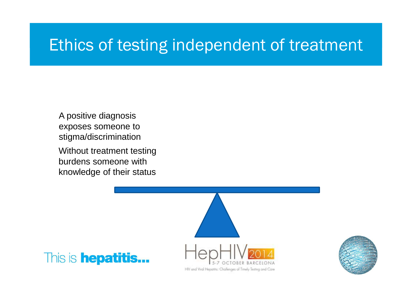#### PurposeEthics of testing independent of treatment

Without treatment testing burdens someone with knowledge of their statusA positive diagnosis exposes someone to stigma/discrimination



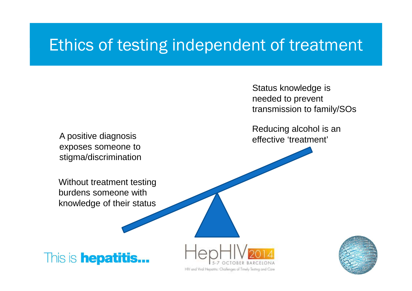#### PurposeEthics of testing independent of treatment

A positive diagnosis exposes someone to stigma/discrimination Status knowledge is needed to prevent transmission to family/SOs

Reducing alcohol is an effective 'treatment'

Without treatment testing burdens someone with knowledge of their status

This is **hepatitis...** 



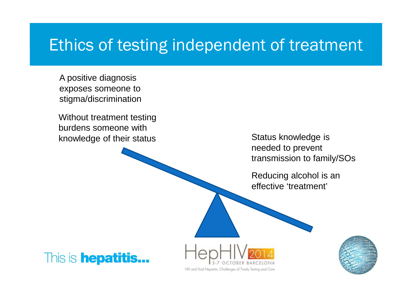#### PurposeEthics of testing independent of treatment

A positive diagnosis exposes someone to stigma/discrimination

Without treatment testing burdens someone with knowledge of their status

Status knowledge is needed to prevent transmission to family/SOs

Reducing alcohol is an effective 'treatment'





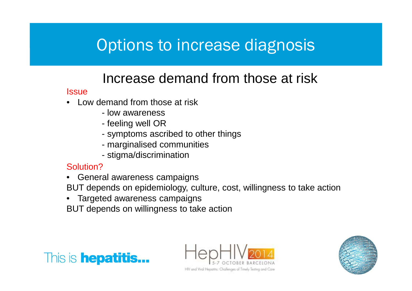### Options to increase diagnosis

### Increase demand from those at risk

#### **Issue**

- Low demand from those at risk •
	- low awareness
	- feeling well OR
	- symptoms ascribed to other things
	- marginalised communities
	- stigma/discrimination

#### Solution?

- General awareness campaigns
- BUT depends on epidemiology, culture, cost, willingness to take action
- Targeted awareness campaignsBUT depends on willingness to take action





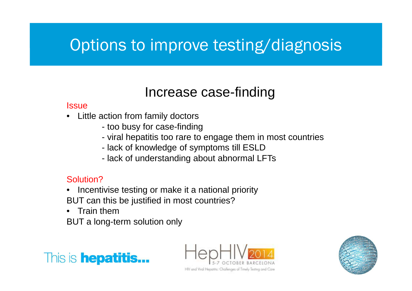### PurposeOptions to improve testing/diagnosis

### Increase case-finding

#### **Issue**

- Little action from family doctors $\bullet$ 
	- too busy for case-finding
	- viral hepatitis too rare to engage them in most countries
	- lack of knowledge of symptoms till ESLD
	- lack of understanding about abnormal LFTs

#### Solution?

- Incentivise testing or make it a national priorityBUT can this be justified in most countries?
- •Train them

BUT a long-term solution only





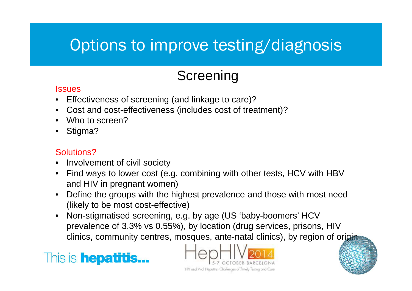### PurposeOptions to improve testing/diagnosis

### **Screening**

#### **Issues**

- Effectiveness of screening (and linkage to care)?•
- Cost and cost-effectiveness (includes cost of treatment)?•
- •Who to screen?
- •Stigma?

#### Solutions?

- Involvement of civil society•
- Find ways to lower cost (e.g. combining with other tests, HCV with HBV •and HIV in pregnant women)
- • Define the groups with the highest prevalence and those with most need (likely to be most cost-effective)
- • Non-stigmatised screening, e.g. by age (US 'baby-boomers' HCV prevalence of 3.3% vs 0.55%), by location (drug services, prisons, HIV clinics, community centres, mosques, ante-natal clinics), by region of origin



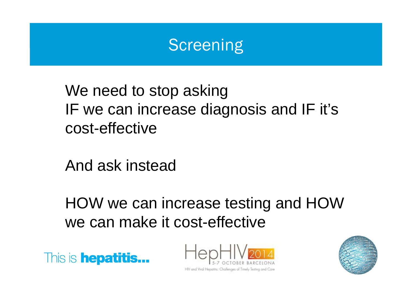### Screening

We need to stop asking IF we can increase diagnosis and IF it's cost-effective

And ask instead

HOW we can increase testing and HOW we can make it cost-effective